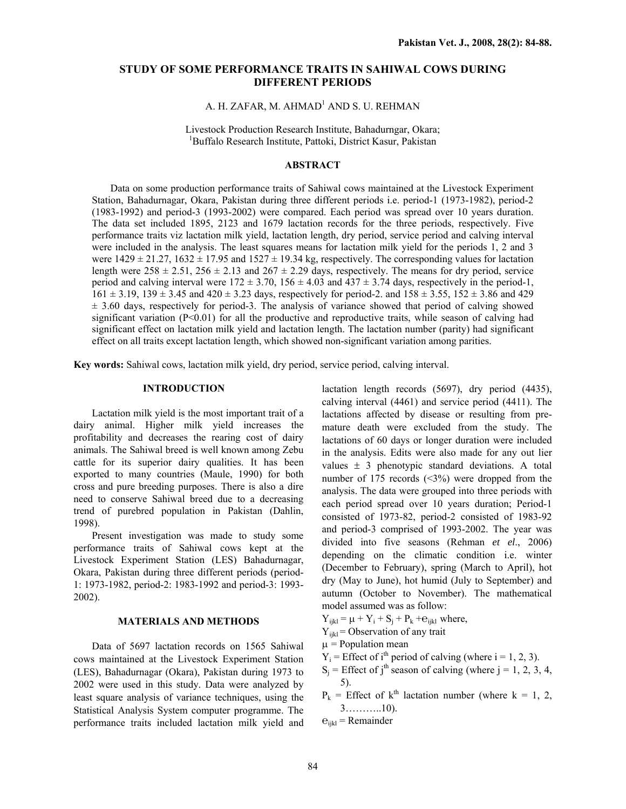# **STUDY OF SOME PERFORMANCE TRAITS IN SAHIWAL COWS DURING DIFFERENT PERIODS**

# A. H. ZAFAR, M. AHMAD<sup>1</sup> AND S. U. REHMAN

Livestock Production Research Institute, Bahadurngar, Okara; 1 Buffalo Research Institute, Pattoki, District Kasur, Pakistan

## **ABSTRACT**

Data on some production performance traits of Sahiwal cows maintained at the Livestock Experiment Station, Bahadurnagar, Okara, Pakistan during three different periods i.e. period-1 (1973-1982), period-2 (1983-1992) and period-3 (1993-2002) were compared. Each period was spread over 10 years duration. The data set included 1895, 2123 and 1679 lactation records for the three periods, respectively. Five performance traits viz lactation milk yield, lactation length, dry period, service period and calving interval were included in the analysis. The least squares means for lactation milk yield for the periods 1, 2 and 3 were  $1429 \pm 21.27$ ,  $1632 \pm 17.95$  and  $1527 \pm 19.34$  kg, respectively. The corresponding values for lactation length were  $258 \pm 2.51$ ,  $256 \pm 2.13$  and  $267 \pm 2.29$  days, respectively. The means for dry period, service period and calving interval were  $172 \pm 3.70$ ,  $156 \pm 4.03$  and  $437 \pm 3.74$  days, respectively in the period-1,  $161 \pm 3.19$ ,  $139 \pm 3.45$  and  $420 \pm 3.23$  days, respectively for period-2, and  $158 \pm 3.55$ ,  $152 \pm 3.86$  and  $429$  $\pm$  3.60 days, respectively for period-3. The analysis of variance showed that period of calving showed significant variation  $(P<0.01)$  for all the productive and reproductive traits, while season of calving had significant effect on lactation milk yield and lactation length. The lactation number (parity) had significant effect on all traits except lactation length, which showed non-significant variation among parities.

**Key words:** Sahiwal cows, lactation milk yield, dry period, service period, calving interval.

## **INTRODUCTION**

Lactation milk yield is the most important trait of a dairy animal. Higher milk yield increases the profitability and decreases the rearing cost of dairy animals. The Sahiwal breed is well known among Zebu cattle for its superior dairy qualities. It has been exported to many countries (Maule, 1990) for both cross and pure breeding purposes. There is also a dire need to conserve Sahiwal breed due to a decreasing trend of purebred population in Pakistan (Dahlin, 1998).

Present investigation was made to study some performance traits of Sahiwal cows kept at the Livestock Experiment Station (LES) Bahadurnagar, Okara, Pakistan during three different periods (period-1: 1973-1982, period-2: 1983-1992 and period-3: 1993- 2002).

# **MATERIALS AND METHODS**

 Data of 5697 lactation records on 1565 Sahiwal cows maintained at the Livestock Experiment Station (LES), Bahadurnagar (Okara), Pakistan during 1973 to 2002 were used in this study. Data were analyzed by least square analysis of variance techniques, using the Statistical Analysis System computer programme. The performance traits included lactation milk yield and lactation length records (5697), dry period (4435), calving interval (4461) and service period (4411). The lactations affected by disease or resulting from premature death were excluded from the study. The lactations of 60 days or longer duration were included in the analysis. Edits were also made for any out lier values  $\pm$  3 phenotypic standard deviations. A total number of 175 records  $(\leq 3\%)$  were dropped from the analysis. The data were grouped into three periods with each period spread over 10 years duration; Period-1 consisted of 1973-82, period-2 consisted of 1983-92 and period-3 comprised of 1993-2002. The year was divided into five seasons (Rehman *et el*., 2006) depending on the climatic condition i.e. winter (December to February), spring (March to April), hot dry (May to June), hot humid (July to September) and autumn (October to November). The mathematical model assumed was as follow:

- $Y_{iikl} = \mu + Y_i + S_i + P_k + e_{iikl}$  where,
- $Y_{ijkl}$  = Observation of any trait
- $\mu$  = Population mean
- $Y_i$  = Effect of i<sup>th</sup> period of calving (where i = 1, 2, 3).
- $S_i$  = Effect of j<sup>th</sup> season of calving (where  $i = 1, 2, 3, 4$ , 5).
- $P_k$  = Effect of k<sup>th</sup> lactation number (where k = 1, 2, 3………..10).
- $e_{ijkl}$  = Remainder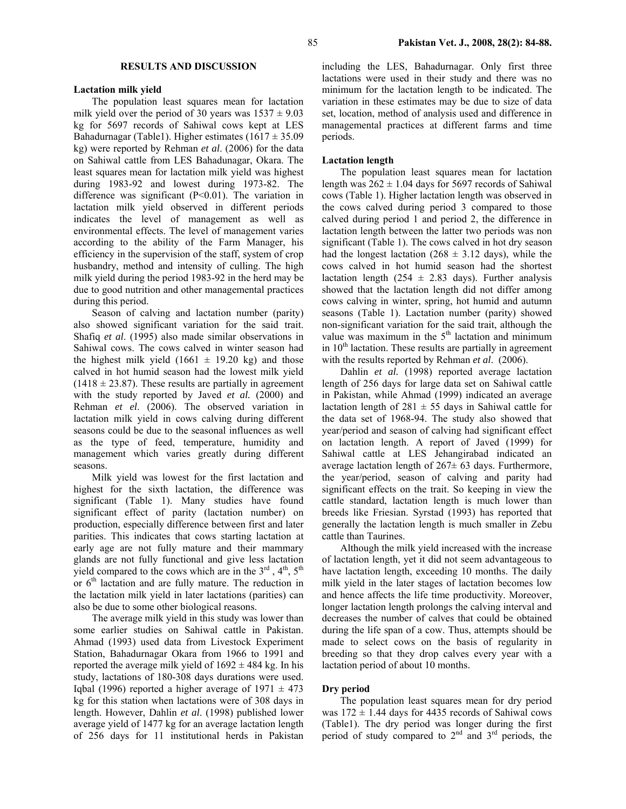### **RESULTS AND DISCUSSION**

### **Lactation milk yield**

 The population least squares mean for lactation milk yield over the period of 30 years was  $1537 \pm 9.03$ kg for 5697 records of Sahiwal cows kept at LES Bahadurnagar (Table1). Higher estimates  $(1617 \pm 35.09$ kg) were reported by Rehman *et al*. (2006) for the data on Sahiwal cattle from LES Bahadunagar, Okara. The least squares mean for lactation milk yield was highest during 1983-92 and lowest during 1973-82. The difference was significant (P<0.01). The variation in lactation milk yield observed in different periods indicates the level of management as well as environmental effects. The level of management varies according to the ability of the Farm Manager, his efficiency in the supervision of the staff, system of crop husbandry, method and intensity of culling. The high milk yield during the period 1983-92 in the herd may be due to good nutrition and other managemental practices during this period.

 Season of calving and lactation number (parity) also showed significant variation for the said trait. Shafiq *et al*. (1995) also made similar observations in Sahiwal cows. The cows calved in winter season had the highest milk yield  $(1661 \pm 19.20 \text{ kg})$  and those calved in hot humid season had the lowest milk yield  $(1418 \pm 23.87)$ . These results are partially in agreement with the study reported by Javed *et al.* (2000) and Rehman *et el*. (2006). The observed variation in lactation milk yield in cows calving during different seasons could be due to the seasonal influences as well as the type of feed, temperature, humidity and management which varies greatly during different seasons.

 Milk yield was lowest for the first lactation and highest for the sixth lactation, the difference was significant (Table 1). Many studies have found significant effect of parity (lactation number) on production, especially difference between first and later parities. This indicates that cows starting lactation at early age are not fully mature and their mammary glands are not fully functional and give less lactation yield compared to the cows which are in the  $3<sup>rd</sup>$ ,  $4<sup>th</sup>$ ,  $5<sup>th</sup>$ or  $6<sup>th</sup>$  lactation and are fully mature. The reduction in the lactation milk yield in later lactations (parities) can also be due to some other biological reasons.

 The average milk yield in this study was lower than some earlier studies on Sahiwal cattle in Pakistan. Ahmad (1993) used data from Livestock Experiment Station, Bahadurnagar Okara from 1966 to 1991 and reported the average milk yield of  $1692 \pm 484$  kg. In his study, lactations of 180-308 days durations were used. Iqbal (1996) reported a higher average of  $1971 \pm 473$ kg for this station when lactations were of 308 days in length. However, Dahlin *et al*. (1998) published lower average yield of 1477 kg for an average lactation length of 256 days for 11 institutional herds in Pakistan including the LES, Bahadurnagar. Only first three lactations were used in their study and there was no minimum for the lactation length to be indicated. The variation in these estimates may be due to size of data set, location, method of analysis used and difference in managemental practices at different farms and time periods.

#### **Lactation length**

 The population least squares mean for lactation length was  $262 \pm 1.04$  days for 5697 records of Sahiwal cows (Table 1). Higher lactation length was observed in the cows calved during period 3 compared to those calved during period 1 and period 2, the difference in lactation length between the latter two periods was non significant (Table 1). The cows calved in hot dry season had the longest lactation (268  $\pm$  3.12 days), while the cows calved in hot humid season had the shortest lactation length (254  $\pm$  2.83 days). Further analysis showed that the lactation length did not differ among cows calving in winter, spring, hot humid and autumn seasons (Table 1). Lactation number (parity) showed non-significant variation for the said trait, although the value was maximum in the  $5<sup>th</sup>$  lactation and minimum in  $10<sup>th</sup>$  lactation. These results are partially in agreement with the results reported by Rehman *et al*. (2006).

 Dahlin *et al.* (1998) reported average lactation length of 256 days for large data set on Sahiwal cattle in Pakistan, while Ahmad (1999) indicated an average lactation length of  $281 \pm 55$  days in Sahiwal cattle for the data set of 1968-94. The study also showed that year/period and season of calving had significant effect on lactation length. A report of Javed (1999) for Sahiwal cattle at LES Jehangirabad indicated an average lactation length of  $267 \pm 63$  days. Furthermore, the year/period, season of calving and parity had significant effects on the trait. So keeping in view the cattle standard, lactation length is much lower than breeds like Friesian. Syrstad (1993) has reported that generally the lactation length is much smaller in Zebu cattle than Taurines.

Although the milk yield increased with the increase of lactation length, yet it did not seem advantageous to have lactation length, exceeding 10 months. The daily milk yield in the later stages of lactation becomes low and hence affects the life time productivity. Moreover, longer lactation length prolongs the calving interval and decreases the number of calves that could be obtained during the life span of a cow. Thus, attempts should be made to select cows on the basis of regularity in breeding so that they drop calves every year with a lactation period of about 10 months.

## **Dry period**

The population least squares mean for dry period was  $172 \pm 1.44$  days for 4435 records of Sahiwal cows (Table1). The dry period was longer during the first period of study compared to  $2<sup>nd</sup>$  and  $3<sup>rd</sup>$  periods, the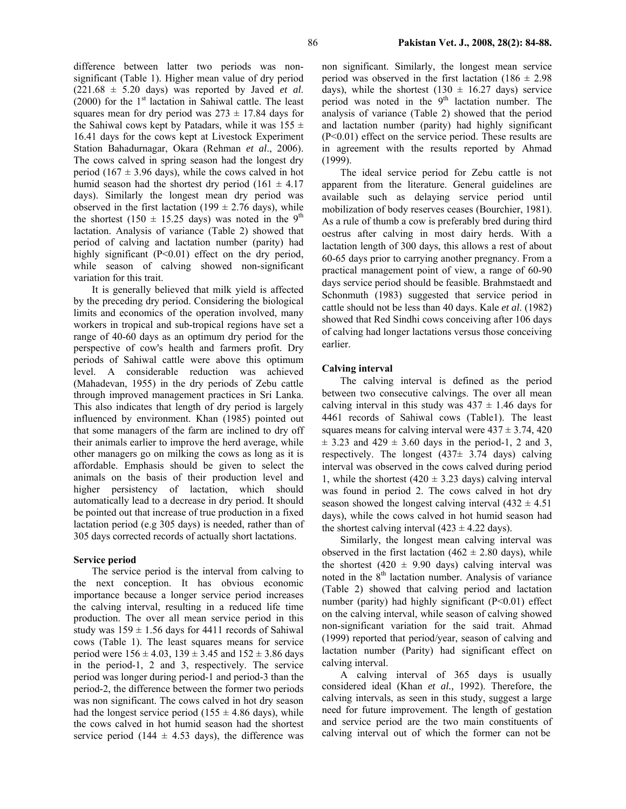16.41 days for the cows kept at Livestock Experiment Station Bahadurnagar, Okara (Rehman *et al*., 2006). The cows calved in spring season had the longest dry period (167  $\pm$  3.96 days), while the cows calved in hot humid season had the shortest dry period  $(161 \pm 4.17)$ days). Similarly the longest mean dry period was observed in the first lactation (199  $\pm$  2.76 days), while the shortest (150  $\pm$  15.25 days) was noted in the 9<sup>th</sup> lactation. Analysis of variance (Table 2) showed that period of calving and lactation number (parity) had highly significant (P<0.01) effect on the dry period, while season of calving showed non-significant variation for this trait.

It is generally believed that milk yield is affected by the preceding dry period. Considering the biological limits and economics of the operation involved, many workers in tropical and sub-tropical regions have set a range of 40-60 days as an optimum dry period for the perspective of cow's health and farmers profit. Dry periods of Sahiwal cattle were above this optimum level. A considerable reduction was achieved (Mahadevan, 1955) in the dry periods of Zebu cattle through improved management practices in Sri Lanka. This also indicates that length of dry period is largely influenced by environment. Khan (1985) pointed out that some managers of the farm are inclined to dry off their animals earlier to improve the herd average, while other managers go on milking the cows as long as it is affordable. Emphasis should be given to select the animals on the basis of their production level and higher persistency of lactation, which should automatically lead to a decrease in dry period. It should be pointed out that increase of true production in a fixed lactation period (e.g 305 days) is needed, rather than of 305 days corrected records of actually short lactations.

## **Service period**

 The service period is the interval from calving to the next conception. It has obvious economic importance because a longer service period increases the calving interval, resulting in a reduced life time production. The over all mean service period in this study was  $159 \pm 1.56$  days for 4411 records of Sahiwal cows (Table 1). The least squares means for service period were  $156 \pm 4.03$ ,  $139 \pm 3.45$  and  $152 \pm 3.86$  days in the period-1, 2 and 3, respectively. The service period was longer during period-1 and period-3 than the period-2, the difference between the former two periods was non significant. The cows calved in hot dry season had the longest service period (155  $\pm$  4.86 days), while the cows calved in hot humid season had the shortest service period (144  $\pm$  4.53 days), the difference was

non significant. Similarly, the longest mean service period was observed in the first lactation  $(186 \pm 2.98)$ days), while the shortest (130  $\pm$  16.27 days) service period was noted in the  $9<sup>th</sup>$  lactation number. The analysis of variance (Table 2) showed that the period and lactation number (parity) had highly significant (P<0.01) effect on the service period. These results are in agreement with the results reported by Ahmad (1999).

The ideal service period for Zebu cattle is not apparent from the literature. General guidelines are available such as delaying service period until mobilization of body reserves ceases (Bourchier, 1981). As a rule of thumb a cow is preferably bred during third oestrus after calving in most dairy herds. With a lactation length of 300 days, this allows a rest of about 60-65 days prior to carrying another pregnancy. From a practical management point of view, a range of 60-90 days service period should be feasible. Brahmstaedt and Schonmuth (1983) suggested that service period in cattle should not be less than 40 days. Kale *et al*. (1982) showed that Red Sindhi cows conceiving after 106 days of calving had longer lactations versus those conceiving earlier.

# **Calving interval**

The calving interval is defined as the period between two consecutive calvings. The over all mean calving interval in this study was  $437 \pm 1.46$  days for 4461 records of Sahiwal cows (Table1). The least squares means for calving interval were  $437 \pm 3.74$ ,  $420$  $\pm$  3.23 and 429  $\pm$  3.60 days in the period-1, 2 and 3, respectively. The longest  $(437± 3.74$  days) calving interval was observed in the cows calved during period 1, while the shortest  $(420 \pm 3.23 \text{ days})$  calving interval was found in period 2. The cows calved in hot dry season showed the longest calving interval  $(432 \pm 4.51)$ days), while the cows calved in hot humid season had the shortest calving interval  $(423 \pm 4.22$  days).

Similarly, the longest mean calving interval was observed in the first lactation (462  $\pm$  2.80 days), while the shortest (420  $\pm$  9.90 days) calving interval was noted in the  $8<sup>th</sup>$  lactation number. Analysis of variance (Table 2) showed that calving period and lactation number (parity) had highly significant (P<0.01) effect on the calving interval, while season of calving showed non-significant variation for the said trait. Ahmad (1999) reported that period/year, season of calving and lactation number (Parity) had significant effect on calving interval.

A calving interval of 365 days is usually considered ideal (Khan *et al.,* 1992). Therefore, the calving intervals, as seen in this study, suggest a large need for future improvement. The length of gestation and service period are the two main constituents of calving interval out of which the former can not be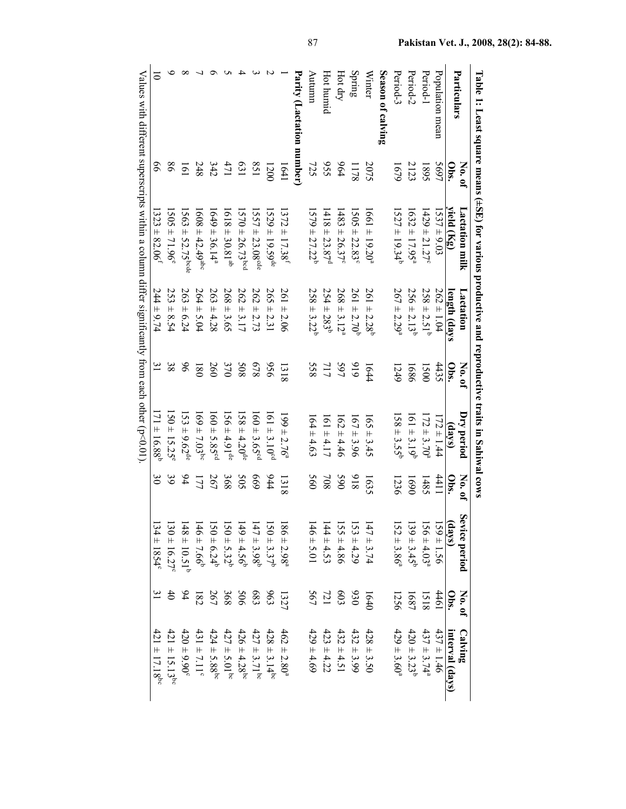|                   |                 | Table 1: Least square means ( $\pm$ SE) for varior and reproductive trains in Saliiwal cows |                             |        |                              |                  |                             |                 |                              |
|-------------------|-----------------|---------------------------------------------------------------------------------------------|-----------------------------|--------|------------------------------|------------------|-----------------------------|-----------------|------------------------------|
|                   | No. of          | Lactation milk                                                                              | Lactation                   | No. of | Dry period                   | No. of           | Sevice period               | No. of          | Calving                      |
| Particulars       | $\frac{1}{2}$   | yield $(\mathrm{Kg})$                                                                       | length (days                | obs.   | (days)                       | $\frac{1}{2}$    | (days)                      | Obs.            | interval (days)              |
| Population mean   | 5697            | $537 \pm 9.03$                                                                              | $262 \pm 1.04$              | 4435   | $172 \pm 1.44$               | 4411             | $159 \pm 1.56$              | 4461            | $437 \pm 1.46$               |
| Period-1          | 1895            | $429 \pm 21.27$ <sup>c</sup>                                                                | $258 \pm 2.51^b$            | 1500   | $172 \pm 3.70^{a}$           | 1485             | $156 \pm 4.03^s$            | 1518            | $437 \pm 3.74$ <sup>a</sup>  |
| Period-2          | 2123            | $(632 \pm 17.95^a)$                                                                         | $256 \pm 2.13^{b}$          | 1686   | $161 \pm 3.19^b$             | 1690             | $(39 \pm 3.45^b)$           | 1687            | $420 \pm 3.23^b$             |
| Period-3          | 1679            | $1527 \pm 19.34^b$                                                                          | $267 \pm 2.29^a$            | 1249   | $58 \pm 3.55$                | 1236             | $152 \pm 3.86$ <sup>a</sup> | 1256            | $429 \pm 3.60$ <sup>a</sup>  |
| Season of calving |                 |                                                                                             |                             |        |                              |                  |                             |                 |                              |
| Winter            | 2075            | $1661 \pm 19.20$ <sup>a</sup>                                                               | $261 \pm 2.28$ <sup>b</sup> | 1644   | $65 \pm 3.45$                | 1635             | $147 \pm 3.74$              | (640)           | $428 \pm 3.50$               |
| Spring            | 1178            | $505 \pm 22.83^{\circ}$                                                                     | $261 \pm 2.70^{6}$          | 919    | $167 \pm 3.96$               | 816              | $53 + 4.29$                 | 030             | $432 \pm 3.99$               |
| Hot dry           | 644             | $483 \pm 26.37^{\circ}$                                                                     | $268 \pm 3.12^{a}$          | 597    | $162 \pm 4.46$               | 65               | $55 + 4.86$                 | 603             | $432 \pm 4.51$               |
| Hot humid         | 556             | $118 \pm 23.87$ <sup>d</sup>                                                                | $254 \pm 283^b$             | 717    | $161 \pm 4.17$               | $80\angle$       | $144 \pm 4.53$              | $\overline{21}$ | $423 \pm 4.22$               |
| Autumn            | 725             | $579 \pm 27.22^b$                                                                           | $258 \pm 3.22^b$            | 558    | $164 \pm 4.63$               | 560              | $146 \pm 5.01$              | 567             | $429 \pm 4.69$               |
| Parity (Lactation | number)         |                                                                                             |                             |        |                              |                  |                             |                 |                              |
|                   | 1641            | $372 \pm 17.38^f$                                                                           | $261 \pm 2.06$              | 1318   | $96 = 2.76$                  | $\frac{1318}{2}$ | $186 \pm 2.98$ <sup>a</sup> | 1327            | $462 \pm 2.80^a$             |
|                   | 1200            | $529 \pm 19.59^{\text{de}}$                                                                 | $265 \pm 2.31$              | 956    | $61 \pm 3.10^{\circ d}$      | 944              | $50 \pm 3.37^b$             | 963             | $428 \pm 3.14^{\rm bc}$      |
|                   | 158             | $557 \pm 23.08^{\text{ode}}$                                                                | 262<br>5.73                 | 829    | $160 \pm 3.65^{\circ d}$     | 699              | $47 \pm 3.98^b$             | 683             | $427 \pm 3.71$ <sup>bc</sup> |
|                   | <b>631</b>      | $570 \pm 26.73$ <sup>bcd</sup>                                                              | $262 \pm 3.17$              | 508    | $58 \pm 4.20^{\circ}$        | 505              | $149 \pm 4.56^b$            | 90 <sup>5</sup> | $426 \pm 4.28$ <sup>bc</sup> |
|                   | 471             | $1618 \pm 30.81$ <sup>ab</sup>                                                              | $268 \pm 3.65$              | 370    | $56 \pm 4.91^{\text{de}}$    | 895              | $150 \pm 5.32^b$            | 368             | $427 \pm 5.01$ <sup>bc</sup> |
|                   | 342             | $649 \pm 36.14^a$                                                                           | $263 \pm 4.28$              | 260    | $160 \pm 5.85$ <sup>cd</sup> | 267              | $150 \pm 6.24^b$            | 267             | $424 \pm 5.88$ <sup>bc</sup> |
|                   | 248             | $1608 \pm 42.49^{\rm abc}$                                                                  | $264 \pm 5.04$              | 180    | $(69 \pm 7.03)^{bc}$         | 177              | $46 \pm 7.66^{\circ}$       | 182             | $431 \pm 7.11^{\circ}$       |
|                   | $\overline{61}$ | $563 \pm 52.75^{bcde}$                                                                      | $263 \pm 6.24$              | 96     | $53 \pm 9.62^{\rm de}$       | 94               | $148 \pm 10.51^b$           | 94              | $420 \pm 9.90^{\circ}$       |
|                   |                 | $505 \pm 71.96^{\circ}$                                                                     | $253 \pm 8.54$              | 38     | $50 \pm 15.25$               | 39               | $130 \pm 16.27$             | \$              | $421 \pm 15.13^{bc}$         |
|                   |                 | $323 \pm 82.06^{\dagger}$                                                                   | $244 \pm 9.74$              |        | $11 \pm 16.88$               | $\mathfrak{S}$   | $34 \pm 1854^{\circ}$       |                 | $421 \pm 17.18^{bc}$         |
| $\frac{1}{2}$     |                 |                                                                                             |                             |        | )<br>D<br>D<br>D             |                  |                             |                 |                              |

Values with different superscripts within a column differ significantly from each other  $(p<0.01)$ .  $\bar{N}$ alues with different superscripts within a column differ significantly from each other (p-0).